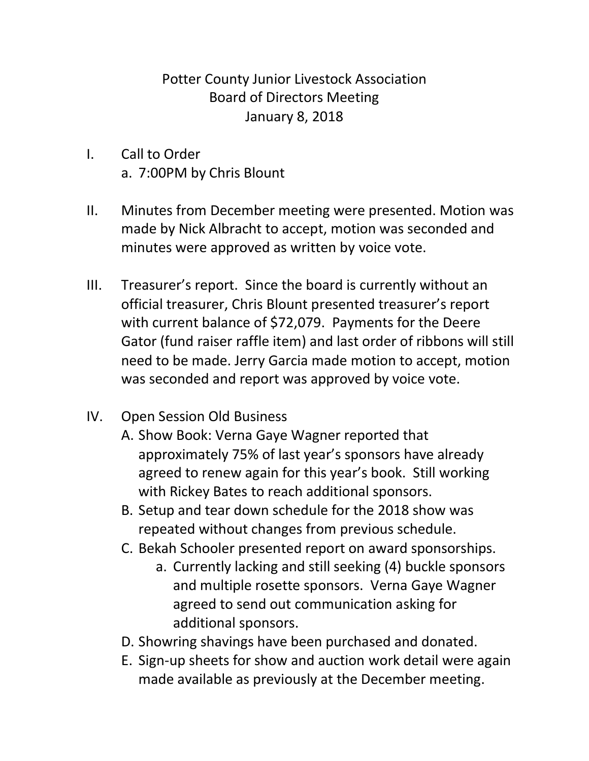## Potter County Junior Livestock Association Board of Directors Meeting January 8, 2018

- I. Call to Order a. 7:00PM by Chris Blount
- II. Minutes from December meeting were presented. Motion was made by Nick Albracht to accept, motion was seconded and minutes were approved as written by voice vote.
- III. Treasurer's report. Since the board is currently without an official treasurer, Chris Blount presented treasurer's report with current balance of \$72,079. Payments for the Deere Gator (fund raiser raffle item) and last order of ribbons will still need to be made. Jerry Garcia made motion to accept, motion was seconded and report was approved by voice vote.
- IV. Open Session Old Business
	- A. Show Book: Verna Gaye Wagner reported that approximately 75% of last year's sponsors have already agreed to renew again for this year's book. Still working with Rickey Bates to reach additional sponsors.
	- B. Setup and tear down schedule for the 2018 show was repeated without changes from previous schedule.
	- C. Bekah Schooler presented report on award sponsorships.
		- a. Currently lacking and still seeking (4) buckle sponsors and multiple rosette sponsors. Verna Gaye Wagner agreed to send out communication asking for additional sponsors.
	- D. Showring shavings have been purchased and donated.
	- E. Sign-up sheets for show and auction work detail were again made available as previously at the December meeting.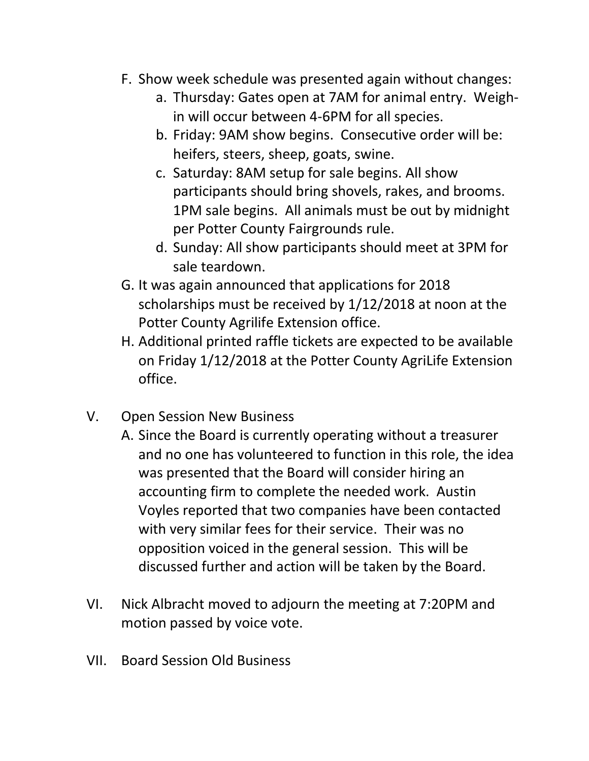- F. Show week schedule was presented again without changes:
	- a. Thursday: Gates open at 7AM for animal entry. Weighin will occur between 4-6PM for all species.
	- b. Friday: 9AM show begins. Consecutive order will be: heifers, steers, sheep, goats, swine.
	- c. Saturday: 8AM setup for sale begins. All show participants should bring shovels, rakes, and brooms. 1PM sale begins. All animals must be out by midnight per Potter County Fairgrounds rule.
	- d. Sunday: All show participants should meet at 3PM for sale teardown.
- G. It was again announced that applications for 2018 scholarships must be received by 1/12/2018 at noon at the Potter County Agrilife Extension office.
- H. Additional printed raffle tickets are expected to be available on Friday 1/12/2018 at the Potter County AgriLife Extension office.
- V. Open Session New Business
	- A. Since the Board is currently operating without a treasurer and no one has volunteered to function in this role, the idea was presented that the Board will consider hiring an accounting firm to complete the needed work. Austin Voyles reported that two companies have been contacted with very similar fees for their service. Their was no opposition voiced in the general session. This will be discussed further and action will be taken by the Board.
- VI. Nick Albracht moved to adjourn the meeting at 7:20PM and motion passed by voice vote.
- VII. Board Session Old Business